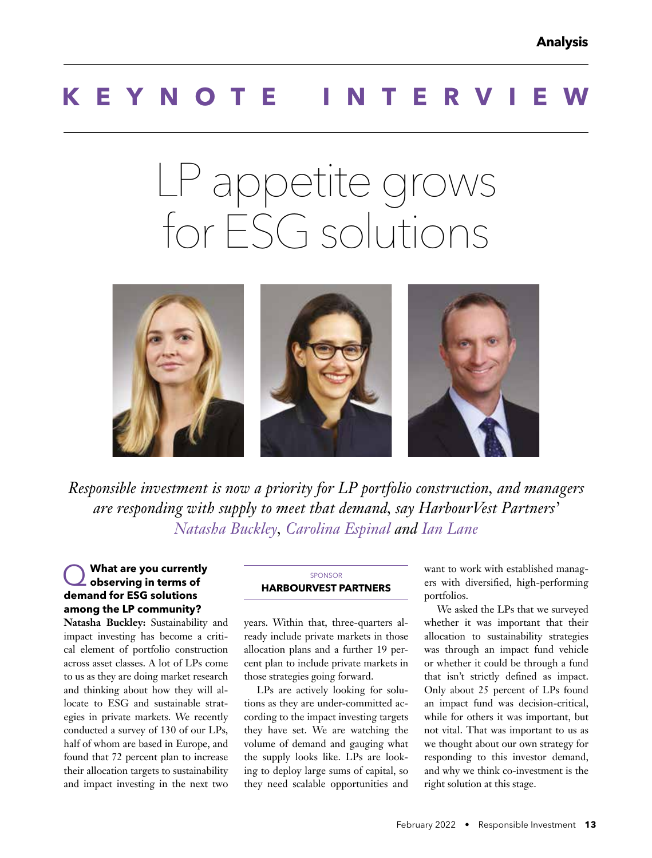## **KEYNOTE INTERV**

# LP appetite grows for ESG solutions



*Responsible investment is now a priority for LP portfolio construction, and managers are responding with supply to meet that demand, say HarbourVest Partners' Natasha Buckley, Carolina Espinal and Ian Lane*

## Q **What are you currently observing in terms of demand for ESG solutions among the LP community?**

**Natasha Buckley:** Sustainability and impact investing has become a critical element of portfolio construction across asset classes. A lot of LPs come to us as they are doing market research and thinking about how they will allocate to ESG and sustainable strategies in private markets. We recently conducted a survey of 130 of our LPs, half of whom are based in Europe, and found that 72 percent plan to increase their allocation targets to sustainability and impact investing in the next two

#### **SPONSOR HARBOURVEST PARTNERS**

years. Within that, three-quarters already include private markets in those allocation plans and a further 19 percent plan to include private markets in those strategies going forward.

LPs are actively looking for solutions as they are under-committed according to the impact investing targets they have set. We are watching the volume of demand and gauging what the supply looks like. LPs are looking to deploy large sums of capital, so they need scalable opportunities and

want to work with established managers with diversified, high-performing portfolios.

We asked the LPs that we surveyed whether it was important that their allocation to sustainability strategies was through an impact fund vehicle or whether it could be through a fund that isn't strictly defined as impact. Only about 25 percent of LPs found an impact fund was decision-critical, while for others it was important, but not vital. That was important to us as we thought about our own strategy for responding to this investor demand, and why we think co-investment is the right solution at this stage.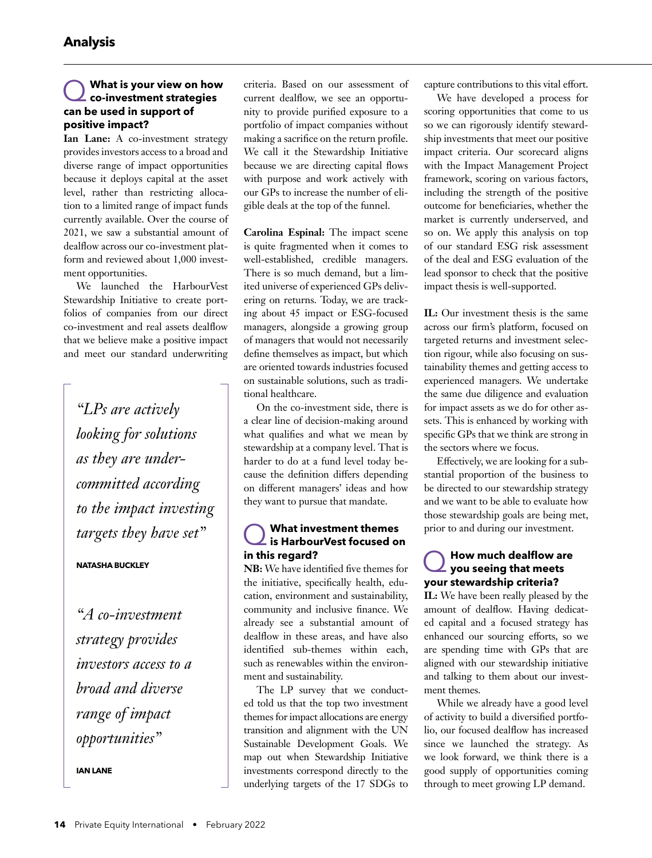#### Q **What is your view on how co-investment strategies can be used in support of positive impact?**

**Ian Lane:** A co-investment strategy provides investors access to a broad and diverse range of impact opportunities because it deploys capital at the asset level, rather than restricting allocation to a limited range of impact funds currently available. Over the course of 2021, we saw a substantial amount of dealflow across our co-investment platform and reviewed about 1,000 investment opportunities.

We launched the HarbourVest Stewardship Initiative to create portfolios of companies from our direct co-investment and real assets dealflow that we believe make a positive impact and meet our standard underwriting

*"LPs are actively looking for solutions as they are undercommitted according to the impact investing targets they have set"*

#### **NATASHA BUCKLEY**

*"A co-investment strategy provides investors access to a broad and diverse range of impact opportunities"* 

**IAN LANE**

criteria. Based on our assessment of current dealflow, we see an opportunity to provide purified exposure to a portfolio of impact companies without making a sacrifice on the return profile. We call it the Stewardship Initiative because we are directing capital flows with purpose and work actively with our GPs to increase the number of eligible deals at the top of the funnel.

**Carolina Espinal:** The impact scene is quite fragmented when it comes to well-established, credible managers. There is so much demand, but a limited universe of experienced GPs delivering on returns. Today, we are tracking about 45 impact or ESG-focused managers, alongside a growing group of managers that would not necessarily define themselves as impact, but which are oriented towards industries focused on sustainable solutions, such as traditional healthcare.

On the co-investment side, there is a clear line of decision-making around what qualifies and what we mean by stewardship at a company level. That is harder to do at a fund level today because the definition differs depending on different managers' ideas and how they want to pursue that mandate.

## Q **What investment themes is HarbourVest focused on in this regard?**

**NB:** We have identified five themes for the initiative, specifically health, education, environment and sustainability, community and inclusive finance. We already see a substantial amount of dealflow in these areas, and have also identified sub-themes within each, such as renewables within the environment and sustainability.

The LP survey that we conducted told us that the top two investment themes for impact allocations are energy transition and alignment with the UN Sustainable Development Goals. We map out when Stewardship Initiative investments correspond directly to the underlying targets of the 17 SDGs to capture contributions to this vital effort.

We have developed a process for scoring opportunities that come to us so we can rigorously identify stewardship investments that meet our positive impact criteria. Our scorecard aligns with the Impact Management Project framework, scoring on various factors, including the strength of the positive outcome for beneficiaries, whether the market is currently underserved, and so on. We apply this analysis on top of our standard ESG risk assessment of the deal and ESG evaluation of the lead sponsor to check that the positive impact thesis is well-supported.

**IL:** Our investment thesis is the same across our firm's platform, focused on targeted returns and investment selection rigour, while also focusing on sustainability themes and getting access to experienced managers. We undertake the same due diligence and evaluation for impact assets as we do for other assets. This is enhanced by working with specific GPs that we think are strong in the sectors where we focus.

Effectively, we are looking for a substantial proportion of the business to be directed to our stewardship strategy and we want to be able to evaluate how those stewardship goals are being met, prior to and during our investment.

## Q**How much dealflow are you seeing that meets your stewardship criteria?**

**IL:** We have been really pleased by the amount of dealflow. Having dedicated capital and a focused strategy has enhanced our sourcing efforts, so we are spending time with GPs that are aligned with our stewardship initiative and talking to them about our investment themes.

While we already have a good level of activity to build a diversified portfolio, our focused dealflow has increased since we launched the strategy. As we look forward, we think there is a good supply of opportunities coming through to meet growing LP demand.